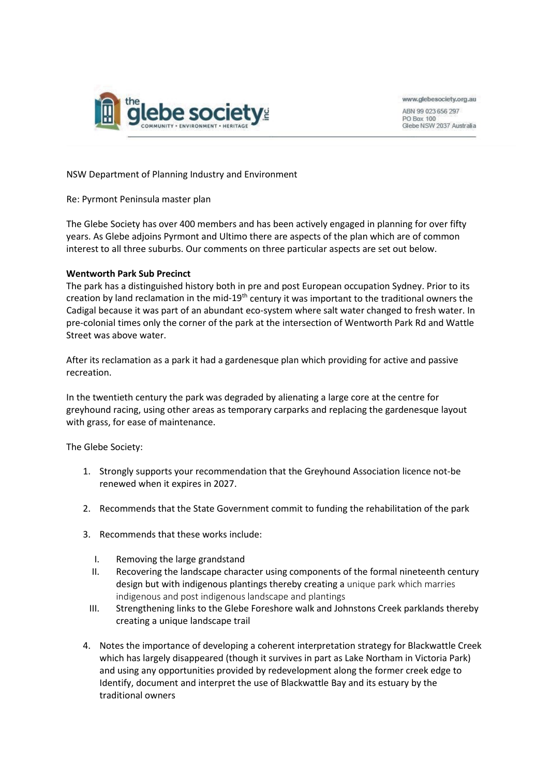

www.glebesociety.org.au

ABN 99 023 656 297 **PO Box 100** Glebe NSW 2037 Australia

NSW Department of Planning Industry and Environment

Re: Pyrmont Peninsula master plan

The Glebe Society has over 400 members and has been actively engaged in planning for over fifty years. As Glebe adjoins Pyrmont and Ultimo there are aspects of the plan which are of common interest to all three suburbs. Our comments on three particular aspects are set out below.

### **Wentworth Park Sub Precinct**

The park has a distinguished history both in pre and post European occupation Sydney. Prior to its creation by land reclamation in the mid-19<sup>th</sup> century it was important to the traditional owners the Cadigal because it was part of an abundant eco-system where salt water changed to fresh water. In pre-colonial times only the corner of the park at the intersection of Wentworth Park Rd and Wattle Street was above water.

After its reclamation as a park it had a gardenesque plan which providing for active and passive recreation.

In the twentieth century the park was degraded by alienating a large core at the centre for greyhound racing, using other areas as temporary carparks and replacing the gardenesque layout with grass, for ease of maintenance.

The Glebe Society:

- 1. Strongly supports your recommendation that the Greyhound Association licence not-be renewed when it expires in 2027.
- 2. Recommends that the State Government commit to funding the rehabilitation of the park
- 3. Recommends that these works include:
	- I. Removing the large grandstand
	- II. Recovering the landscape character using components of the formal nineteenth century design but with indigenous plantings thereby creating a unique park which marries indigenous and post indigenous landscape and plantings
	- III. Strengthening links to the Glebe Foreshore walk and Johnstons Creek parklands thereby creating a unique landscape trail
- 4. Notes the importance of developing a coherent interpretation strategy for Blackwattle Creek which has largely disappeared (though it survives in part as Lake Northam in Victoria Park) and using any opportunities provided by redevelopment along the former creek edge to Identify, document and interpret the use of Blackwattle Bay and its estuary by the traditional owners